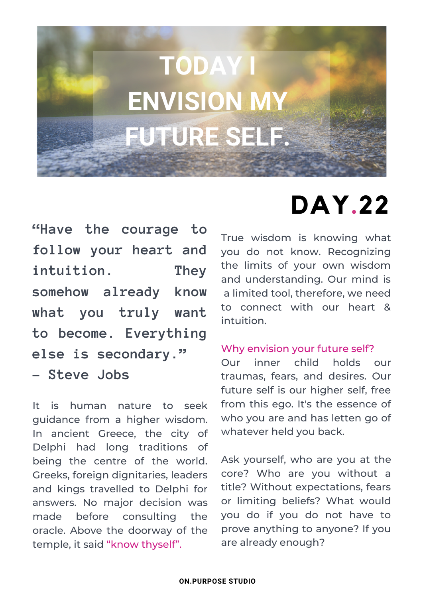# **TODAY I ENVISION MY FUTURE SELF.**

**"Have the courage to follow your heart and intuition. They somehow already know what you truly want to become. Everything else is secondary." - Steve Jobs**

It is human nature to seek guidance from a higher wisdom. In ancient Greece, the city of Delphi had long traditions of being the centre of the world. Greeks, foreign dignitaries, leaders and kings travelled to Delphi for answers. No major decision was made before consulting the oracle. Above the doorway of the temple, it said "know thyself".

## **DAY.22**

True wisdom is knowing what you do not know. Recognizing the limits of your own wisdom and understanding. Our mind is a limited tool, therefore, we need to connect with our heart & intuition.

#### Why envision your future self?

Our inner child holds our traumas, fears, and desires. Our future self is our higher self, free from this ego. It's the essence of who you are and has letten go of whatever held you back.

Ask yourself, who are you at the core? Who are you without a title? Without expectations, fears or limiting beliefs? What would you do if you do not have to prove anything to anyone? If you are already enough?